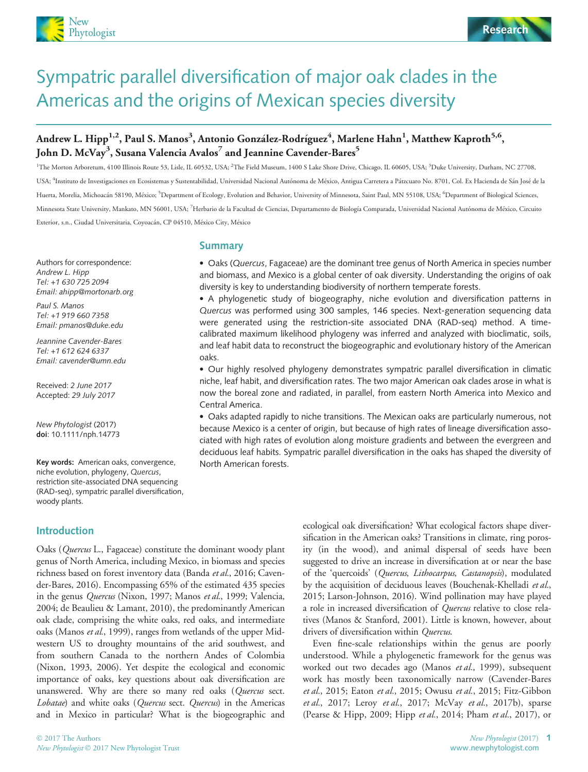



# Sympatric parallel diversification of major oak clades in the Americas and the origins of Mexican species diversity

# Andrew L. Hipp<sup>1,2</sup>, Paul S. Manos<sup>3</sup>, Antonio González-Rodríguez<sup>4</sup>, Marlene Hahn<sup>1</sup>, Matthew Kaproth<sup>5,6</sup>, John D. McVay<sup>3</sup>, Susana Valencia Avalos<sup>7</sup> and Jeannine Cavender-Bares<sup>5</sup>

<sup>1</sup>The Morton Arboretum, 4100 Illinois Route 53, Lisle, IL 60532, USA; <sup>2</sup>The Field Museum, 1400 S Lake Shore Drive, Chicago, IL 60605, USA; <sup>3</sup>Duke University, Durham, NC 27708, USA; <sup>4</sup>Instituto de Investigaciones en Ecosistemas y Sustentabilidad, Universidad Nacional Autónoma de México, Antigua Carretera a Pátzcuaro No. 8701, Col. Ex Hacienda de Sán José de la Huerta, Morelia, Michoacán 58190, México; <sup>5</sup>Department of Ecology, Evolution and Behavior, University of Minnesota, Saint Paul, MN 55108, USA; <sup>6</sup>Department of Biological Sciences, Minnesota State University, Mankato, MN 56001, USA; <sup>7</sup> Herbario de la Facultad de Ciencias, Departamento de Biologıa Comparada, Universidad Nacional Autonoma de Mexico, Circuito Exterior, s.n., Ciudad Universitaria, Coyoacán, CP 04510, México City, México

Authors for correspondence: Andrew L. Hipp Tel: +1 630 725 2094 Email: ahipp@mortonarb.org

Paul S. Manos Tel: +1 919 660 7358 Email: pmanos@duke.edu

Jeannine Cavender-Bares Tel: +1 612 624 6337 Email: cavender@umn.edu

Received: 2 June 2017 Accepted: 29 July 2017

New Phytologist (2017) doi: 10.1111/nph.14773

Key words: American oaks, convergence, niche evolution, phylogeny, Quercus, restriction site-associated DNA sequencing (RAD-seq), sympatric parallel diversification, woody plants.

Introduction

Oaks (Quercus L., Fagaceae) constitute the dominant woody plant genus of North America, including Mexico, in biomass and species richness based on forest inventory data (Banda et al., 2016; Cavender-Bares, 2016). Encompassing 65% of the estimated 435 species in the genus Quercus (Nixon, 1997; Manos et al., 1999; Valencia, 2004; de Beaulieu & Lamant, 2010), the predominantly American oak clade, comprising the white oaks, red oaks, and intermediate oaks (Manos et al., 1999), ranges from wetlands of the upper Midwestern US to droughty mountains of the arid southwest, and from southern Canada to the northern Andes of Colombia (Nixon, 1993, 2006). Yet despite the ecological and economic importance of oaks, key questions about oak diversification are unanswered. Why are there so many red oaks (Quercus sect. Lobatae) and white oaks (Quercus sect. Quercus) in the Americas and in Mexico in particular? What is the biogeographic and

## Summary

• Oaks (Quercus, Fagaceae) are the dominant tree genus of North America in species number and biomass, and Mexico is a global center of oak diversity. Understanding the origins of oak diversity is key to understanding biodiversity of northern temperate forests.

 A phylogenetic study of biogeography, niche evolution and diversification patterns in Quercus was performed using 300 samples, 146 species. Next-generation sequencing data were generated using the restriction-site associated DNA (RAD-seq) method. A timecalibrated maximum likelihood phylogeny was inferred and analyzed with bioclimatic, soils, and leaf habit data to reconstruct the biogeographic and evolutionary history of the American oaks.

 Our highly resolved phylogeny demonstrates sympatric parallel diversification in climatic niche, leaf habit, and diversification rates. The two major American oak clades arose in what is now the boreal zone and radiated, in parallel, from eastern North America into Mexico and Central America.

 Oaks adapted rapidly to niche transitions. The Mexican oaks are particularly numerous, not because Mexico is a center of origin, but because of high rates of lineage diversification associated with high rates of evolution along moisture gradients and between the evergreen and deciduous leaf habits. Sympatric parallel diversification in the oaks has shaped the diversity of North American forests.

> ecological oak diversification? What ecological factors shape diversification in the American oaks? Transitions in climate, ring porosity (in the wood), and animal dispersal of seeds have been suggested to drive an increase in diversification at or near the base of the 'quercoids' (Quercus, Lithocarpus, Castanopsis), modulated by the acquisition of deciduous leaves (Bouchenak-Khelladi et al., 2015; Larson-Johnson, 2016). Wind pollination may have played a role in increased diversification of Quercus relative to close relatives (Manos & Stanford, 2001). Little is known, however, about drivers of diversification within Quercus.

> Even fine-scale relationships within the genus are poorly understood. While a phylogenetic framework for the genus was worked out two decades ago (Manos et al., 1999), subsequent work has mostly been taxonomically narrow (Cavender-Bares et al., 2015; Eaton et al., 2015; Owusu et al., 2015; Fitz-Gibbon et al., 2017; Leroy et al., 2017; McVay et al., 2017b), sparse (Pearse & Hipp, 2009; Hipp et al., 2014; Pham et al., 2017), or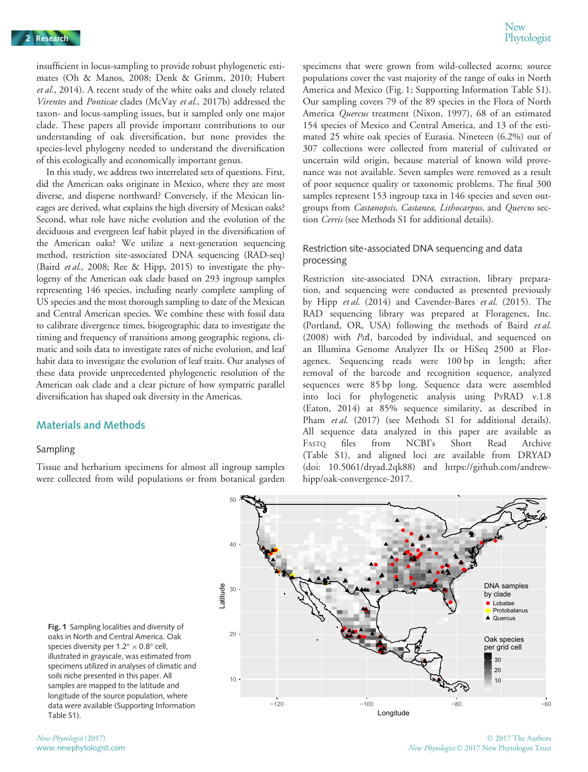New<br>Phytologist

insufficient in locus-sampling to provide robust phylogenetic estimates (Oh & Manos, 2008; Denk & Grimm, 2010; Hubert et al., 2014). A recent study of the white oaks and closely related Virentes and Ponticae clades (McVay et al., 2017b) addressed the taxon- and locus-sampling issues, but it sampled only one major clade. These papers all provide important contributions to our understanding of oak diversification, but none provides the species-level phylogeny needed to understand the diversification of this ecologically and economically important genus.

In this study, we address two interrelated sets of questions. First, did the American oaks originate in Mexico, where they are most diverse, and disperse northward? Conversely, if the Mexican lineages are derived, what explains the high diversity of Mexican oaks? Second, what role have niche evolution and the evolution of the deciduous and evergreen leaf habit played in the diversification of the American oaks? We utilize a next-generation sequencing method, restriction site-associated DNA sequencing (RAD-seq) (Baird et al., 2008; Ree & Hipp, 2015) to investigate the phylogeny of the American oak clade based on 293 ingroup samples representing 146 species, including nearly complete sampling of US species and the most thorough sampling to date of the Mexican and Central American species. We combine these with fossil data to calibrate divergence times, biogeographic data to investigate the timing and frequency of transitions among geographic regions, climatic and soils data to investigate rates of niche evolution, and leaf habit data to investigate the evolution of leaf traits. Our analyses of these data provide unprecedented phylogenetic resolution of the American oak clade and a clear picture of how sympatric parallel diversification has shaped oak diversity in the Americas.

## Materials and Methods

#### Sampling

Tissue and herbarium specimens for almost all ingroup samples were collected from wild populations or from botanical garden

specimens that were grown from wild-collected acorns; source populations cover the vast majority of the range of oaks in North America and Mexico (Fig. 1; Supporting Information Table S1). Our sampling covers 79 of the 89 species in the Flora of North America Quercus treatment (Nixon, 1997), 68 of an estimated 154 species of Mexico and Central America, and 13 of the estimated 25 white oak species of Eurasia. Nineteen (6.2%) out of 307 collections were collected from material of cultivated or uncertain wild origin, because material of known wild provenance was not available. Seven samples were removed as a result of poor sequence quality or taxonomic problems. The final 300 samples represent 153 ingroup taxa in 146 species and seven outgroups from Castanopsis, Castanea, Lithocarpus, and Quercus section Cerris (see Methods S1 for additional details).

## Restriction site-associated DNA sequencing and data processing

Restriction site-associated DNA extraction, library preparation, and sequencing were conducted as presented previously by Hipp et al. (2014) and Cavender-Bares et al. (2015). The RAD sequencing library was prepared at Floragenex, Inc. (Portland, OR, USA) following the methods of Baird et al. (2008) with PstI, barcoded by individual, and sequenced on an Illumina Genome Analyzer IIx or HiSeq 2500 at Floragenex. Sequencing reads were 100 bp in length; after removal of the barcode and recognition sequence, analyzed sequences were 85 bp long. Sequence data were assembled into loci for phylogenetic analysis using PYRAD v.1.8 (Eaton, 2014) at 85% sequence similarity, as described in Pham et al. (2017) (see Methods S1 for additional details). All sequence data analyzed in this paper are available as FASTQ files from NCBI's Short Read Archive (Table S1), and aligned loci are available from DRYAD (doi: [10.5061/dryad.2qk88\)](10.5061/dryad.2qk88) and [https://github.com/andrew](https://github.com/andrew-hipp/oak-convergence-2017)[hipp/oak-convergence-2017](https://github.com/andrew-hipp/oak-convergence-2017).



Fig. 1 Sampling localities and diversity of oaks in North and Central America. Oak species diversity per  $1.2^{\circ} \times 0.8^{\circ}$  cell, illustrated in grayscale, was estimated from specimens utilized in analyses of climatic and soils niche presented in this paper. All samples are mapped to the latitude and longitude of the source population, where data were available (Supporting Information Table S1).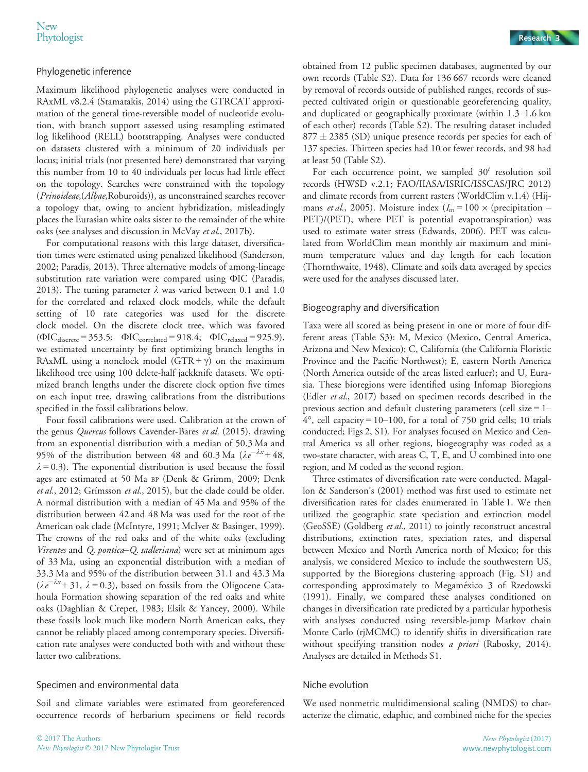## Phylogenetic inference

Maximum likelihood phylogenetic analyses were conducted in RAxML v8.2.4 (Stamatakis, 2014) using the GTRCAT approximation of the general time-reversible model of nucleotide evolution, with branch support assessed using resampling estimated log likelihood (RELL) bootstrapping. Analyses were conducted on datasets clustered with a minimum of 20 individuals per locus; initial trials (not presented here) demonstrated that varying this number from 10 to 40 individuals per locus had little effect on the topology. Searches were constrained with the topology (Prinoideae,(Albae,Roburoids)), as unconstrained searches recover a topology that, owing to ancient hybridization, misleadingly places the Eurasian white oaks sister to the remainder of the white oaks (see analyses and discussion in McVay et al., 2017b).

For computational reasons with this large dataset, diversification times were estimated using penalized likelihood (Sanderson, 2002; Paradis, 2013). Three alternative models of among-lineage substitution rate variation were compared using ФIC (Paradis, 2013). The tuning parameter  $\lambda$  was varied between 0.1 and 1.0 for the correlated and relaxed clock models, while the default setting of 10 rate categories was used for the discrete clock model. On the discrete clock tree, which was favored  $(\Phi IC_{discrete} = 353.5; \Phi IC_{correlated} = 918.4; \Phi IC_{relaxed} = 925.9),$ we estimated uncertainty by first optimizing branch lengths in RAxML using a nonclock model  $(GTR + \gamma)$  on the maximum likelihood tree using 100 delete-half jackknife datasets. We optimized branch lengths under the discrete clock option five times on each input tree, drawing calibrations from the distributions specified in the fossil calibrations below.

Four fossil calibrations were used. Calibration at the crown of the genus *Quercus* follows Cavender-Bares et al. (2015), drawing from an exponential distribution with a median of 50.3 Ma and 95% of the distribution between 48 and 60.3 Ma ( $\lambda e^{-\lambda x}$ +48,  $\lambda = 0.3$ ). The exponential distribution is used because the fossil ages are estimated at 50 Ma BP (Denk & Grimm, 2009; Denk et al., 2012; Grímsson et al., 2015), but the clade could be older. A normal distribution with a median of 45 Ma and 95% of the distribution between 42 and 48 Ma was used for the root of the American oak clade (McIntyre, 1991; McIver & Basinger, 1999). The crowns of the red oaks and of the white oaks (excluding Virentes and Q. pontica–Q. sadleriana) were set at minimum ages of 33 Ma, using an exponential distribution with a median of 33.3 Ma and 95% of the distribution between 31.1 and 43.3 Ma  $(\lambda e^{-\lambda x} + 31, \lambda = 0.3)$ , based on fossils from the Oligocene Catahoula Formation showing separation of the red oaks and white oaks (Daghlian & Crepet, 1983; Elsik & Yancey, 2000). While these fossils look much like modern North American oaks, they cannot be reliably placed among contemporary species. Diversification rate analyses were conducted both with and without these latter two calibrations.

## Specimen and environmental data

Soil and climate variables were estimated from georeferenced occurrence records of herbarium specimens or field records

obtained from 12 public specimen databases, augmented by our own records (Table S2). Data for 136 667 records were cleaned by removal of records outside of published ranges, records of suspected cultivated origin or questionable georeferencing quality, and duplicated or geographically proximate (within 1.3–1.6 km of each other) records (Table S2). The resulting dataset included  $877 \pm 2385$  (SD) unique presence records per species for each of 137 species. Thirteen species had 10 or fewer records, and 98 had at least 50 (Table S2).

For each occurrence point, we sampled  $30'$  resolution soil records (HWSD v.2.1; FAO/IIASA/ISRIC/ISSCAS/JRC 2012) and climate records from current rasters (WorldClim v.1.4) (Hijmans *et al.*, 2005). Moisture index  $(I_m = 100 \times (precision$ PET)/(PET), where PET is potential evapotranspiration) was used to estimate water stress (Edwards, 2006). PET was calculated from WorldClim mean monthly air maximum and minimum temperature values and day length for each location (Thornthwaite, 1948). Climate and soils data averaged by species were used for the analyses discussed later.

## Biogeography and diversification

Taxa were all scored as being present in one or more of four different areas (Table S3): M, Mexico (Mexico, Central America, Arizona and New Mexico); C, California (the California Floristic Province and the Pacific Northwest); E, eastern North America (North America outside of the areas listed earluer); and U, Eurasia. These bioregions were identified using Infomap Bioregions (Edler et al., 2017) based on specimen records described in the previous section and default clustering parameters (cell size  $= 1 4^{\circ}$ , cell capacity = 10–100, for a total of 750 grid cells; 10 trials conducted; Figs 2, S1). For analyses focused on Mexico and Central America vs all other regions, biogeography was coded as a two-state character, with areas C, T, E, and U combined into one region, and M coded as the second region.

Three estimates of diversification rate were conducted. Magallon & Sanderson's (2001) method was first used to estimate net diversification rates for clades enumerated in Table 1. We then utilized the geographic state speciation and extinction model (GeoSSE) (Goldberg et al., 2011) to jointly reconstruct ancestral distributions, extinction rates, speciation rates, and dispersal between Mexico and North America north of Mexico; for this analysis, we considered Mexico to include the southwestern US, supported by the Bioregions clustering approach (Fig. S1) and corresponding approximately to Megaméxico 3 of Rzedowski (1991). Finally, we compared these analyses conditioned on changes in diversification rate predicted by a particular hypothesis with analyses conducted using reversible-jump Markov chain Monte Carlo (rjMCMC) to identify shifts in diversification rate without specifying transition nodes a priori (Rabosky, 2014). Analyses are detailed in Methods S1.

## Niche evolution

We used nonmetric multidimensional scaling (NMDS) to characterize the climatic, edaphic, and combined niche for the species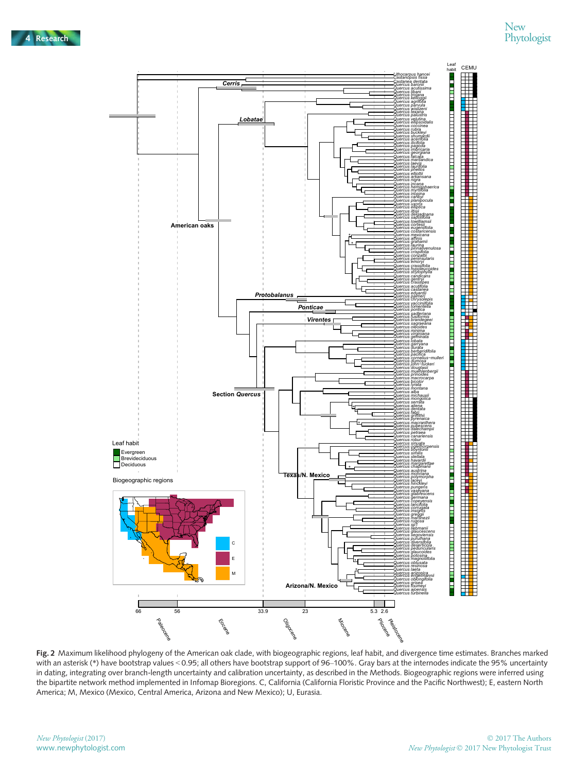

Fig. 2 Maximum likelihood phylogeny of the American oak clade, with biogeographic regions, leaf habit, and divergence time estimates. Branches marked with an asterisk (\*) have bootstrap values < 0.95; all others have bootstrap support of 96–100%. Gray bars at the internodes indicate the 95% uncertainty in dating, integrating over branch-length uncertainty and calibration uncertainty, as described in the Methods. Biogeographic regions were inferred using the bipartite network method implemented in Infomap Bioregions. C, California (California Floristic Province and the Pacific Northwest); E, eastern North America; M, Mexico (Mexico, Central America, Arizona and New Mexico); U, Eurasia.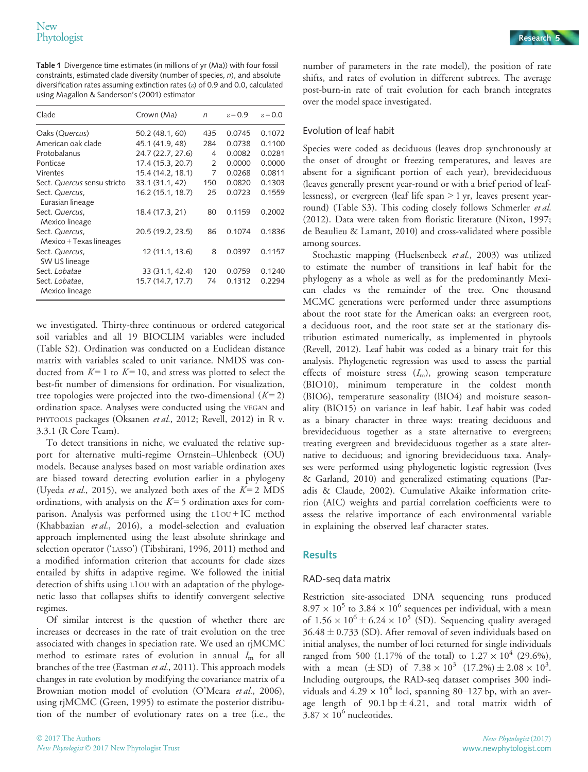Table 1 Divergence time estimates (in millions of yr (Ma)) with four fossil constraints, estimated clade diversity (number of species, n), and absolute diversification rates assuming extinction rates (e) of 0.9 and 0.0, calculated using Magallon & Sanderson's (2001) estimator

| Clade                                       | Crown (Ma)        | $\mathsf{n}$ | $\varepsilon = 0.9$ | $\epsilon$ = 0.0 |
|---------------------------------------------|-------------------|--------------|---------------------|------------------|
| Oaks (Quercus)                              | 50.2 (48.1, 60)   | 435          | 0.0745              | 0.1072           |
| American oak clade                          | 45.1 (41.9.48)    | 284          | 0.0738              | 0.1100           |
| Protobalanus                                | 24.7 (22.7, 27.6) | 4            | 0.0082              | 0.0281           |
| Ponticae                                    | 17.4 (15.3, 20.7) | 2            | 0.0000              | 0.0000           |
| Virentes                                    | 15.4 (14.2, 18.1) | 7            | 0.0268              | 0.0811           |
| Sect. Quercus sensu stricto                 | 33.1 (31.1, 42)   | 150          | 0.0820              | 0.1303           |
| Sect. Quercus,<br>Eurasian lineage          | 16.2 (15.1, 18.7) | 25           | 0.0723              | 0.1559           |
| Sect. Quercus,<br>Mexico lineage            | 18.4 (17.3, 21)   | 80           | 0.1159              | 0.2002           |
| Sect. Quercus,<br>$Mexico + Texas lineages$ | 20.5 (19.2, 23.5) | 86           | 0.1074              | 0.1836           |
| Sect. Quercus,<br>SW US lineage             | 12 (11.1, 13.6)   | 8            | 0.0397              | 0.1157           |
| Sect. Lobatae                               | 33 (31.1, 42.4)   | 120          | 0.0759              | 0.1240           |
| Sect. Lobatae,<br>Mexico lineage            | 15.7 (14.7, 17.7) | 74           | 0.1312              | 0.2294           |

we investigated. Thirty-three continuous or ordered categorical soil variables and all 19 BIOCLIM variables were included (Table S2). Ordination was conducted on a Euclidean distance matrix with variables scaled to unit variance. NMDS was conducted from  $K = 1$  to  $K = 10$ , and stress was plotted to select the best-fit number of dimensions for ordination. For visualization, tree topologies were projected into the two-dimensional  $(K=2)$ ordination space. Analyses were conducted using the VEGAN and PHYTOOLS packages (Oksanen et al., 2012; Revell, 2012) in R v. 3.3.1 (R Core Team).

To detect transitions in niche, we evaluated the relative support for alternative multi-regime Ornstein–Uhlenbeck (OU) models. Because analyses based on most variable ordination axes are biased toward detecting evolution earlier in a phylogeny (Uyeda et al., 2015), we analyzed both axes of the  $K=2$  MDS ordinations, with analysis on the  $K = 5$  ordination axes for comparison. Analysis was performed using the L1OU + IC method (Khabbazian et al., 2016), a model-selection and evaluation approach implemented using the least absolute shrinkage and selection operator ('LASSO') (Tibshirani, 1996, 2011) method and a modified information criterion that accounts for clade sizes entailed by shifts in adaptive regime. We followed the initial detection of shifts using L1OU with an adaptation of the phylogenetic lasso that collapses shifts to identify convergent selective regimes.

Of similar interest is the question of whether there are increases or decreases in the rate of trait evolution on the tree associated with changes in speciation rate. We used an rjMCMC method to estimate rates of evolution in annual  $I<sub>m</sub>$  for all branches of the tree (Eastman et al., 2011). This approach models changes in rate evolution by modifying the covariance matrix of a Brownian motion model of evolution (O'Meara et al., 2006), using rjMCMC (Green, 1995) to estimate the posterior distribution of the number of evolutionary rates on a tree (i.e., the number of parameters in the rate model), the position of rate shifts, and rates of evolution in different subtrees. The average post-burn-in rate of trait evolution for each branch integrates over the model space investigated.

## Evolution of leaf habit

Species were coded as deciduous (leaves drop synchronously at the onset of drought or freezing temperatures, and leaves are absent for a significant portion of each year), brevideciduous (leaves generally present year-round or with a brief period of leaflessness), or evergreen (leaf life span > 1 yr, leaves present yearround) (Table S3). This coding closely follows Schmerler et al. (2012). Data were taken from floristic literature (Nixon, 1997; de Beaulieu & Lamant, 2010) and cross-validated where possible among sources.

Stochastic mapping (Huelsenbeck et al., 2003) was utilized to estimate the number of transitions in leaf habit for the phylogeny as a whole as well as for the predominantly Mexican clades vs the remainder of the tree. One thousand MCMC generations were performed under three assumptions about the root state for the American oaks: an evergreen root, a deciduous root, and the root state set at the stationary distribution estimated numerically, as implemented in phytools (Revell, 2012). Leaf habit was coded as a binary trait for this analysis. Phylogenetic regression was used to assess the partial effects of moisture stress  $(I_m)$ , growing season temperature (BIO10), minimum temperature in the coldest month (BIO6), temperature seasonality (BIO4) and moisture seasonality (BIO15) on variance in leaf habit. Leaf habit was coded as a binary character in three ways: treating deciduous and brevideciduous together as a state alternative to evergreen; treating evergreen and brevideciduous together as a state alternative to deciduous; and ignoring brevideciduous taxa. Analyses were performed using phylogenetic logistic regression (Ives & Garland, 2010) and generalized estimating equations (Paradis & Claude, 2002). Cumulative Akaike information criterion (AIC) weights and partial correlation coefficients were to assess the relative importance of each environmental variable in explaining the observed leaf character states.

## **Results**

## RAD-seq data matrix

Restriction site-associated DNA sequencing runs produced  $8.97 \times 10^5$  to 3.84  $\times 10^6$  sequences per individual, with a mean of  $1.56 \times 10^6 \pm 6.24 \times 10^5$  (SD). Sequencing quality averaged  $36.48 \pm 0.733$  (SD). After removal of seven individuals based on initial analyses, the number of loci returned for single individuals ranged from 500 (1.17% of the total) to  $1.27 \times 10^4$  (29.6%), with a mean  $(\pm SD)$  of  $7.38 \times 10^3$   $(17.2\%) \pm 2.08 \times 10^3$ . Including outgroups, the RAD-seq dataset comprises 300 individuals and  $4.29 \times 10^4$  loci, spanning 80–127 bp, with an average length of  $90.1$  bp  $\pm 4.21$ , and total matrix width of  $3.87 \times 10^6$  nucleotides.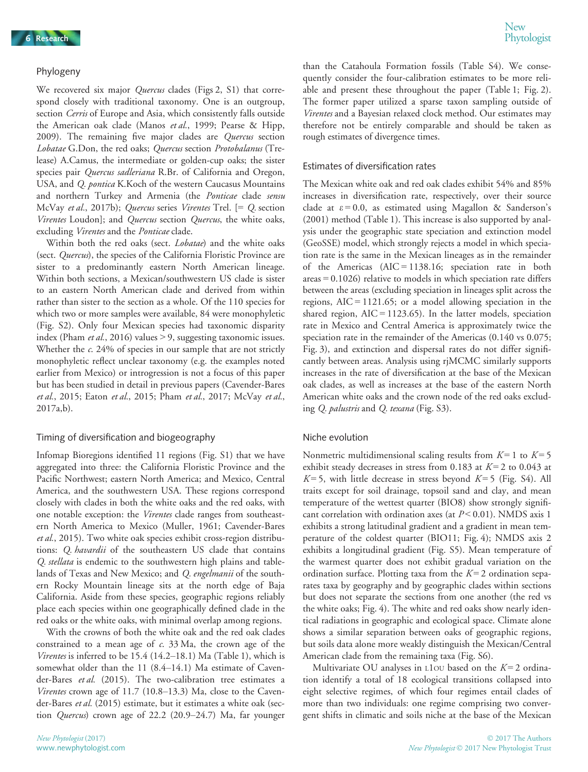#### Phylogeny

We recovered six major *Quercus* clades (Figs 2, S1) that correspond closely with traditional taxonomy. One is an outgroup, section Cerris of Europe and Asia, which consistently falls outside the American oak clade (Manos et al., 1999; Pearse & Hipp, 2009). The remaining five major clades are Quercus section Lobatae G.Don, the red oaks; Quercus section Protobalanus (Trelease) A.Camus, the intermediate or golden-cup oaks; the sister species pair Quercus sadleriana R.Br. of California and Oregon, USA, and Q. pontica K.Koch of the western Caucasus Mountains and northern Turkey and Armenia (the Ponticae clade sensu McVay et al., 2017b); Quercus series Virentes Trel. [= Q. section Virentes Loudon]; and Quercus section Quercus, the white oaks, excluding Virentes and the Ponticae clade.

Within both the red oaks (sect. *Lobatae*) and the white oaks (sect. Quercus), the species of the California Floristic Province are sister to a predominantly eastern North American lineage. Within both sections, a Mexican/southwestern US clade is sister to an eastern North American clade and derived from within rather than sister to the section as a whole. Of the 110 species for which two or more samples were available, 84 were monophyletic (Fig. S2). Only four Mexican species had taxonomic disparity index (Pham *et al.*, 2016) values  $> 9$ , suggesting taxonomic issues. Whether the c. 24% of species in our sample that are not strictly monophyletic reflect unclear taxonomy (e.g. the examples noted earlier from Mexico) or introgression is not a focus of this paper but has been studied in detail in previous papers (Cavender-Bares et al., 2015; Eaton et al., 2015; Pham et al., 2017; McVay et al., 2017a,b).

#### Timing of diversification and biogeography

Infomap Bioregions identified 11 regions (Fig. S1) that we have aggregated into three: the California Floristic Province and the Pacific Northwest; eastern North America; and Mexico, Central America, and the southwestern USA. These regions correspond closely with clades in both the white oaks and the red oaks, with one notable exception: the Virentes clade ranges from southeastern North America to Mexico (Muller, 1961; Cavender-Bares et al., 2015). Two white oak species exhibit cross-region distributions: Q. havardii of the southeastern US clade that contains Q. stellata is endemic to the southwestern high plains and tablelands of Texas and New Mexico; and Q. engelmanii of the southern Rocky Mountain lineage sits at the north edge of Baja California. Aside from these species, geographic regions reliably place each species within one geographically defined clade in the red oaks or the white oaks, with minimal overlap among regions.

With the crowns of both the white oak and the red oak clades constrained to a mean age of c. 33 Ma, the crown age of the Virentes is inferred to be 15.4 (14.2–18.1) Ma (Table 1), which is somewhat older than the 11 (8.4–14.1) Ma estimate of Cavender-Bares et al. (2015). The two-calibration tree estimates a Virentes crown age of 11.7 (10.8–13.3) Ma, close to the Cavender-Bares et al. (2015) estimate, but it estimates a white oak (section Quercus) crown age of 22.2 (20.9–24.7) Ma, far younger

than the Catahoula Formation fossils (Table S4). We consequently consider the four-calibration estimates to be more reliable and present these throughout the paper (Table 1; Fig. 2). The former paper utilized a sparse taxon sampling outside of Virentes and a Bayesian relaxed clock method. Our estimates may therefore not be entirely comparable and should be taken as rough estimates of divergence times.

#### Estimates of diversification rates

The Mexican white oak and red oak clades exhibit 54% and 85% increases in diversification rate, respectively, over their source clade at  $\varepsilon = 0.0$ , as estimated using Magallon & Sanderson's (2001) method (Table 1). This increase is also supported by analysis under the geographic state speciation and extinction model (GeoSSE) model, which strongly rejects a model in which speciation rate is the same in the Mexican lineages as in the remainder of the Americas (AIC = 1138.16; speciation rate in both areas = 0.1026) relative to models in which speciation rate differs between the areas (excluding speciation in lineages split across the regions,  $AIC = 1121.65$ ; or a model allowing speciation in the shared region,  $AIC = 1123.65$ ). In the latter models, speciation rate in Mexico and Central America is approximately twice the speciation rate in the remainder of the Americas (0.140 vs 0.075; Fig. 3), and extinction and dispersal rates do not differ significantly between areas. Analysis using rjMCMC similarly supports increases in the rate of diversification at the base of the Mexican oak clades, as well as increases at the base of the eastern North American white oaks and the crown node of the red oaks excluding Q. palustris and Q. texana (Fig. S3).

#### Niche evolution

Nonmetric multidimensional scaling results from  $K=1$  to  $K=5$ exhibit steady decreases in stress from 0.183 at  $K = 2$  to 0.043 at  $K=5$ , with little decrease in stress beyond  $K=5$  (Fig. S4). All traits except for soil drainage, topsoil sand and clay, and mean temperature of the wettest quarter (BIO8) show strongly significant correlation with ordination axes (at  $P < 0.01$ ). NMDS axis 1 exhibits a strong latitudinal gradient and a gradient in mean temperature of the coldest quarter (BIO11; Fig. 4); NMDS axis 2 exhibits a longitudinal gradient (Fig. S5). Mean temperature of the warmest quarter does not exhibit gradual variation on the ordination surface. Plotting taxa from the  $K = 2$  ordination separates taxa by geography and by geographic clades within sections but does not separate the sections from one another (the red vs the white oaks; Fig. 4). The white and red oaks show nearly identical radiations in geographic and ecological space. Climate alone shows a similar separation between oaks of geographic regions, but soils data alone more weakly distinguish the Mexican/Central American clade from the remaining taxa (Fig. S6).

Multivariate OU analyses in  $L1$ OU based on the  $K=2$  ordination identify a total of 18 ecological transitions collapsed into eight selective regimes, of which four regimes entail clades of more than two individuals: one regime comprising two convergent shifts in climatic and soils niche at the base of the Mexican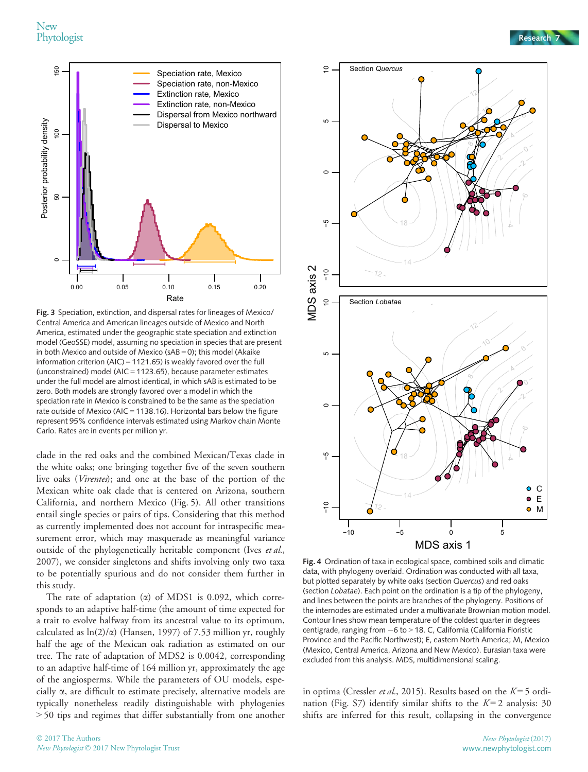New<br>Phytologist Phytologist Research 7



Fig. 3 Speciation, extinction, and dispersal rates for lineages of Mexico/ Central America and American lineages outside of Mexico and North America, estimated under the geographic state speciation and extinction model (GeoSSE) model, assuming no speciation in species that are present in both Mexico and outside of Mexico (sAB = 0); this model (Akaike information criterion (AIC) = 1121.65) is weakly favored over the full (unconstrained) model (AIC = 1123.65), because parameter estimates under the full model are almost identical, in which sAB is estimated to be zero. Both models are strongly favored over a model in which the speciation rate in Mexico is constrained to be the same as the speciation rate outside of Mexico (AIC = 1138.16). Horizontal bars below the figure represent 95% confidence intervals estimated using Markov chain Monte Carlo. Rates are in events per million yr.

clade in the red oaks and the combined Mexican/Texas clade in the white oaks; one bringing together five of the seven southern live oaks (Virentes); and one at the base of the portion of the Mexican white oak clade that is centered on Arizona, southern California, and northern Mexico (Fig. 5). All other transitions entail single species or pairs of tips. Considering that this method as currently implemented does not account for intraspecific measurement error, which may masquerade as meaningful variance outside of the phylogenetically heritable component (Ives et al., 2007), we consider singletons and shifts involving only two taxa to be potentially spurious and do not consider them further in this study.

The rate of adaptation  $(\alpha)$  of MDS1 is 0.092, which corresponds to an adaptive half-time (the amount of time expected for a trait to evolve halfway from its ancestral value to its optimum, calculated as  $ln(2)/\alpha$ ) (Hansen, 1997) of 7.53 million yr, roughly half the age of the Mexican oak radiation as estimated on our tree. The rate of adaptation of MDS2 is 0.0042, corresponding to an adaptive half-time of 164 million yr, approximately the age of the angiosperms. While the parameters of OU models, especially  $\alpha$ , are difficult to estimate precisely, alternative models are typically nonetheless readily distinguishable with phylogenies > 50 tips and regimes that differ substantially from one another



Fig. 4 Ordination of taxa in ecological space, combined soils and climatic data, with phylogeny overlaid. Ordination was conducted with all taxa, but plotted separately by white oaks (section Quercus) and red oaks (section Lobatae). Each point on the ordination is a tip of the phylogeny, and lines between the points are branches of the phylogeny. Positions of the internodes are estimated under a multivariate Brownian motion model. Contour lines show mean temperature of the coldest quarter in degrees centigrade, ranging from  $-6$  to  $>$  18. C, California (California Floristic Province and the Pacific Northwest); E, eastern North America; M, Mexico (Mexico, Central America, Arizona and New Mexico). Eurasian taxa were excluded from this analysis. MDS, multidimensional scaling.

in optima (Cressler et al., 2015). Results based on the  $K=5$  ordination (Fig. S7) identify similar shifts to the  $K=2$  analysis: 30 shifts are inferred for this result, collapsing in the convergence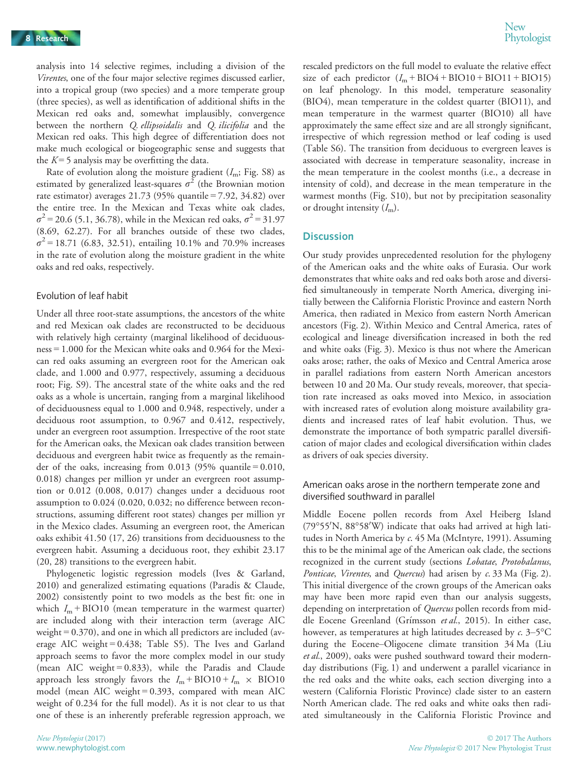analysis into 14 selective regimes, including a division of the Virentes, one of the four major selective regimes discussed earlier, into a tropical group (two species) and a more temperate group (three species), as well as identification of additional shifts in the Mexican red oaks and, somewhat implausibly, convergence between the northern *Q. ellipsoidalis* and *Q. ilicifolia* and the Mexican red oaks. This high degree of differentiation does not make much ecological or biogeographic sense and suggests that the  $K = 5$  analysis may be overfitting the data.

Rate of evolution along the moisture gradient  $(I_m; Fig. S8)$  as estimated by generalized least-squares  $\sigma^2$  (the Brownian motion rate estimator) averages 21.73 (95% quantile = 7.92, 34.82) over the entire tree. In the Mexican and Texas white oak clades,  $\sigma^2$  = 20.6 (5.1, 36.78), while in the Mexican red oaks,  $\sigma^2$  = 31.97 (8.69, 62.27). For all branches outside of these two clades,  $\sigma^2$  = 18.71 (6.83, 32.51), entailing 10.1% and 70.9% increases in the rate of evolution along the moisture gradient in the white oaks and red oaks, respectively.

## Evolution of leaf habit

Under all three root-state assumptions, the ancestors of the white and red Mexican oak clades are reconstructed to be deciduous with relatively high certainty (marginal likelihood of deciduousness = 1.000 for the Mexican white oaks and 0.964 for the Mexican red oaks assuming an evergreen root for the American oak clade, and 1.000 and 0.977, respectively, assuming a deciduous root; Fig. S9). The ancestral state of the white oaks and the red oaks as a whole is uncertain, ranging from a marginal likelihood of deciduousness equal to 1.000 and 0.948, respectively, under a deciduous root assumption, to 0.967 and 0.412, respectively, under an evergreen root assumption. Irrespective of the root state for the American oaks, the Mexican oak clades transition between deciduous and evergreen habit twice as frequently as the remainder of the oaks, increasing from  $0.013$  (95% quantile = 0.010, 0.018) changes per million yr under an evergreen root assumption or 0.012 (0.008, 0.017) changes under a deciduous root assumption to 0.024 (0.020, 0.032; no difference between reconstructions, assuming different root states) changes per million yr in the Mexico clades. Assuming an evergreen root, the American oaks exhibit 41.50 (17, 26) transitions from deciduousness to the evergreen habit. Assuming a deciduous root, they exhibit 23.17 (20, 28) transitions to the evergreen habit.

Phylogenetic logistic regression models (Ives & Garland, 2010) and generalized estimating equations (Paradis & Claude, 2002) consistently point to two models as the best fit: one in which  $I_m$  + BIO10 (mean temperature in the warmest quarter) are included along with their interaction term (average AIC weight = 0.370), and one in which all predictors are included (average AIC weight = 0.438; Table S5). The Ives and Garland approach seems to favor the more complex model in our study (mean AIC weight = 0.833), while the Paradis and Claude approach less strongly favors the  $I_m$  + BIO10 +  $I_m$  × BIO10 model (mean AIC weight  $= 0.393$ , compared with mean AIC weight of 0.234 for the full model). As it is not clear to us that one of these is an inherently preferable regression approach, we

rescaled predictors on the full model to evaluate the relative effect size of each predictor  $(I_m + BIO4 + BIO10 + BIO11 + BIO15)$ on leaf phenology. In this model, temperature seasonality (BIO4), mean temperature in the coldest quarter (BIO11), and mean temperature in the warmest quarter (BIO10) all have approximately the same effect size and are all strongly significant, irrespective of which regression method or leaf coding is used (Table S6). The transition from deciduous to evergreen leaves is associated with decrease in temperature seasonality, increase in the mean temperature in the coolest months (i.e., a decrease in intensity of cold), and decrease in the mean temperature in the warmest months (Fig. S10), but not by precipitation seasonality or drought intensity  $(I<sub>m</sub>)$ .

## **Discussion**

Our study provides unprecedented resolution for the phylogeny of the American oaks and the white oaks of Eurasia. Our work demonstrates that white oaks and red oaks both arose and diversified simultaneously in temperate North America, diverging initially between the California Floristic Province and eastern North America, then radiated in Mexico from eastern North American ancestors (Fig. 2). Within Mexico and Central America, rates of ecological and lineage diversification increased in both the red and white oaks (Fig. 3). Mexico is thus not where the American oaks arose; rather, the oaks of Mexico and Central America arose in parallel radiations from eastern North American ancestors between 10 and 20 Ma. Our study reveals, moreover, that speciation rate increased as oaks moved into Mexico, in association with increased rates of evolution along moisture availability gradients and increased rates of leaf habit evolution. Thus, we demonstrate the importance of both sympatric parallel diversification of major clades and ecological diversification within clades as drivers of oak species diversity.

## American oaks arose in the northern temperate zone and diversified southward in parallel

Middle Eocene pollen records from Axel Heiberg Island (79°55'N, 88°58'W) indicate that oaks had arrived at high latitudes in North America by c. 45 Ma (McIntyre, 1991). Assuming this to be the minimal age of the American oak clade, the sections recognized in the current study (sections Lobatae, Protobalanus, Ponticae, Virentes, and Quercus) had arisen by c. 33 Ma (Fig. 2). This initial divergence of the crown groups of the American oaks may have been more rapid even than our analysis suggests, depending on interpretation of Quercus pollen records from middle Eocene Greenland (Grímsson et al., 2015). In either case, however, as temperatures at high latitudes decreased by  $c$ . 3-5°C during the Eocene–Oligocene climate transition 34 Ma (Liu et al., 2009), oaks were pushed southward toward their modernday distributions (Fig. 1) and underwent a parallel vicariance in the red oaks and the white oaks, each section diverging into a western (California Floristic Province) clade sister to an eastern North American clade. The red oaks and white oaks then radiated simultaneously in the California Floristic Province and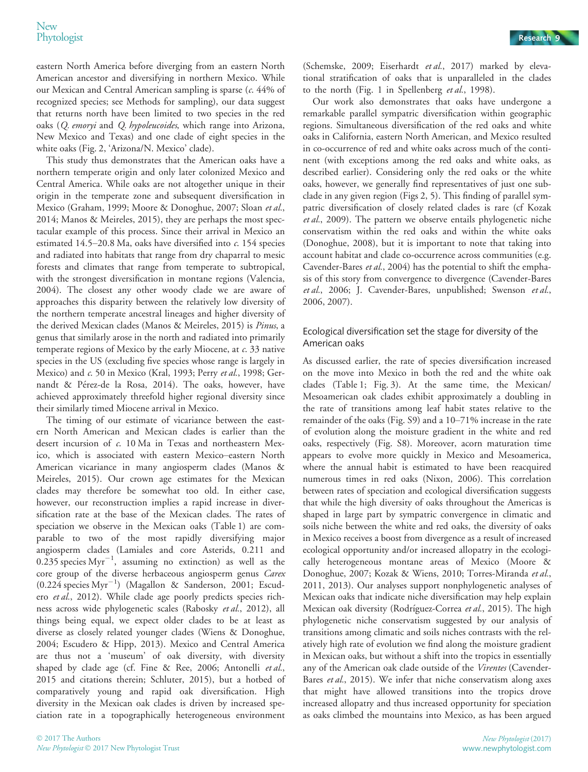eastern North America before diverging from an eastern North American ancestor and diversifying in northern Mexico. While our Mexican and Central American sampling is sparse (c. 44% of recognized species; see Methods for sampling), our data suggest that returns north have been limited to two species in the red oaks (Q. emoryi and Q. hypoleucoides, which range into Arizona, New Mexico and Texas) and one clade of eight species in the white oaks (Fig. 2, 'Arizona/N. Mexico' clade).

This study thus demonstrates that the American oaks have a northern temperate origin and only later colonized Mexico and Central America. While oaks are not altogether unique in their origin in the temperate zone and subsequent diversification in Mexico (Graham, 1999; Moore & Donoghue, 2007; Sloan et al., 2014; Manos & Meireles, 2015), they are perhaps the most spectacular example of this process. Since their arrival in Mexico an estimated 14.5–20.8 Ma, oaks have diversified into c. 154 species and radiated into habitats that range from dry chaparral to mesic forests and climates that range from temperate to subtropical, with the strongest diversification in montane regions (Valencia, 2004). The closest any other woody clade we are aware of approaches this disparity between the relatively low diversity of the northern temperate ancestral lineages and higher diversity of the derived Mexican clades (Manos & Meireles, 2015) is Pinus, a genus that similarly arose in the north and radiated into primarily temperate regions of Mexico by the early Miocene, at c. 33 native species in the US (excluding five species whose range is largely in Mexico) and c. 50 in Mexico (Kral, 1993; Perry et al., 1998; Gernandt & Pérez-de la Rosa, 2014). The oaks, however, have achieved approximately threefold higher regional diversity since their similarly timed Miocene arrival in Mexico.

The timing of our estimate of vicariance between the eastern North American and Mexican clades is earlier than the desert incursion of c. 10 Ma in Texas and northeastern Mexico, which is associated with eastern Mexico–eastern North American vicariance in many angiosperm clades (Manos & Meireles, 2015). Our crown age estimates for the Mexican clades may therefore be somewhat too old. In either case, however, our reconstruction implies a rapid increase in diversification rate at the base of the Mexican clades. The rates of speciation we observe in the Mexican oaks (Table 1) are comparable to two of the most rapidly diversifying major angiosperm clades (Lamiales and core Asterids, 0.211 and 0.235 species  $Myr^{-1}$ , assuming no extinction) as well as the core group of the diverse herbaceous angiosperm genus Carex (0.224 species Myr<sup>-1</sup>) (Magallon & Sanderson, 2001; Escudero et al., 2012). While clade age poorly predicts species richness across wide phylogenetic scales (Rabosky et al., 2012), all things being equal, we expect older clades to be at least as diverse as closely related younger clades (Wiens & Donoghue, 2004; Escudero & Hipp, 2013). Mexico and Central America are thus not a 'museum' of oak diversity, with diversity shaped by clade age (cf. Fine & Ree, 2006; Antonelli et al., 2015 and citations therein; Schluter, 2015), but a hotbed of comparatively young and rapid oak diversification. High diversity in the Mexican oak clades is driven by increased speciation rate in a topographically heterogeneous environment

(Schemske, 2009; Eiserhardt et al., 2017) marked by elevational stratification of oaks that is unparalleled in the clades to the north (Fig. 1 in Spellenberg et al., 1998).

Our work also demonstrates that oaks have undergone a remarkable parallel sympatric diversification within geographic regions. Simultaneous diversification of the red oaks and white oaks in California, eastern North American, and Mexico resulted in co-occurrence of red and white oaks across much of the continent (with exceptions among the red oaks and white oaks, as described earlier). Considering only the red oaks or the white oaks, however, we generally find representatives of just one subclade in any given region (Figs 2, 5). This finding of parallel sympatric diversification of closely related clades is rare (cf Kozak et al., 2009). The pattern we observe entails phylogenetic niche conservatism within the red oaks and within the white oaks (Donoghue, 2008), but it is important to note that taking into account habitat and clade co-occurrence across communities (e.g. Cavender-Bares et al., 2004) has the potential to shift the emphasis of this story from convergence to divergence (Cavender-Bares et al., 2006; J. Cavender-Bares, unpublished; Swenson et al., 2006, 2007).

## Ecological diversification set the stage for diversity of the American oaks

As discussed earlier, the rate of species diversification increased on the move into Mexico in both the red and the white oak clades (Table 1; Fig. 3). At the same time, the Mexican/ Mesoamerican oak clades exhibit approximately a doubling in the rate of transitions among leaf habit states relative to the remainder of the oaks (Fig. S9) and a 10–71% increase in the rate of evolution along the moisture gradient in the white and red oaks, respectively (Fig. S8). Moreover, acorn maturation time appears to evolve more quickly in Mexico and Mesoamerica, where the annual habit is estimated to have been reacquired numerous times in red oaks (Nixon, 2006). This correlation between rates of speciation and ecological diversification suggests that while the high diversity of oaks throughout the Americas is shaped in large part by sympatric convergence in climatic and soils niche between the white and red oaks, the diversity of oaks in Mexico receives a boost from divergence as a result of increased ecological opportunity and/or increased allopatry in the ecologically heterogeneous montane areas of Mexico (Moore & Donoghue, 2007; Kozak & Wiens, 2010; Torres-Miranda et al., 2011, 2013). Our analyses support nonphylogenetic analyses of Mexican oaks that indicate niche diversification may help explain Mexican oak diversity (Rodríguez-Correa et al., 2015). The high phylogenetic niche conservatism suggested by our analysis of transitions among climatic and soils niches contrasts with the relatively high rate of evolution we find along the moisture gradient in Mexican oaks, but without a shift into the tropics in essentially any of the American oak clade outside of the Virentes (Cavender-Bares et al., 2015). We infer that niche conservatism along axes that might have allowed transitions into the tropics drove increased allopatry and thus increased opportunity for speciation as oaks climbed the mountains into Mexico, as has been argued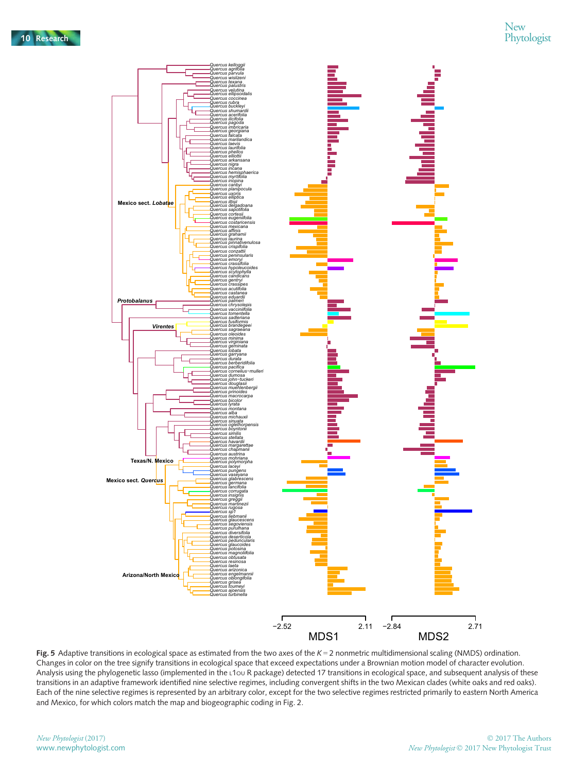

Fig. 5 Adaptive transitions in ecological space as estimated from the two axes of the  $K = 2$  nonmetric multidimensional scaling (NMDS) ordination. Changes in color on the tree signify transitions in ecological space that exceed expectations under a Brownian motion model of character evolution. Analysis using the phylogenetic lasso (implemented in the L1OU R package) detected 17 transitions in ecological space, and subsequent analysis of these transitions in an adaptive framework identified nine selective regimes, including convergent shifts in the two Mexican clades (white oaks and red oaks). Each of the nine selective regimes is represented by an arbitrary color, except for the two selective regimes restricted primarily to eastern North America and Mexico, for which colors match the map and biogeographic coding in Fig. 2.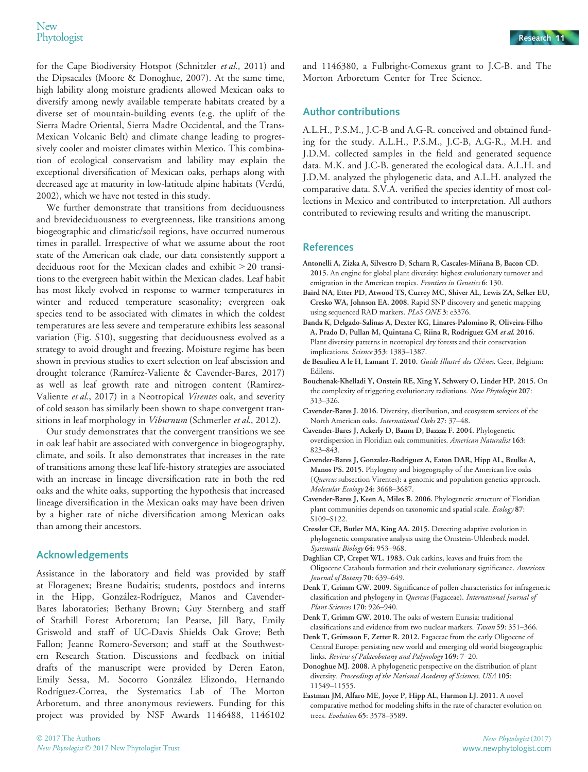for the Cape Biodiversity Hotspot (Schnitzler et al., 2011) and the Dipsacales (Moore & Donoghue, 2007). At the same time, high lability along moisture gradients allowed Mexican oaks to diversify among newly available temperate habitats created by a diverse set of mountain-building events (e.g. the uplift of the Sierra Madre Oriental, Sierra Madre Occidental, and the Trans-Mexican Volcanic Belt) and climate change leading to progressively cooler and moister climates within Mexico. This combination of ecological conservatism and lability may explain the exceptional diversification of Mexican oaks, perhaps along with decreased age at maturity in low-latitude alpine habitats (Verdu, 2002), which we have not tested in this study.

We further demonstrate that transitions from deciduousness and brevideciduousness to evergreenness, like transitions among biogeographic and climatic/soil regions, have occurred numerous times in parallel. Irrespective of what we assume about the root state of the American oak clade, our data consistently support a deciduous root for the Mexican clades and exhibit > 20 transitions to the evergreen habit within the Mexican clades. Leaf habit has most likely evolved in response to warmer temperatures in winter and reduced temperature seasonality; evergreen oak species tend to be associated with climates in which the coldest temperatures are less severe and temperature exhibits less seasonal variation (Fig. S10), suggesting that deciduousness evolved as a strategy to avoid drought and freezing. Moisture regime has been shown in previous studies to exert selection on leaf abscission and drought tolerance (Ramírez-Valiente & Cavender-Bares, 2017) as well as leaf growth rate and nitrogen content (Ramirez-Valiente et al., 2017) in a Neotropical Virentes oak, and severity of cold season has similarly been shown to shape convergent transitions in leaf morphology in Viburnum (Schmerler et al., 2012).

Our study demonstrates that the convergent transitions we see in oak leaf habit are associated with convergence in biogeography, climate, and soils. It also demonstrates that increases in the rate of transitions among these leaf life-history strategies are associated with an increase in lineage diversification rate in both the red oaks and the white oaks, supporting the hypothesis that increased lineage diversification in the Mexican oaks may have been driven by a higher rate of niche diversification among Mexican oaks than among their ancestors.

## Acknowledgements

Assistance in the laboratory and field was provided by staff at Floragenex; Breane Budaitis; students, postdocs and interns in the Hipp, González-Rodríguez, Manos and Cavender-Bares laboratories; Bethany Brown; Guy Sternberg and staff of Starhill Forest Arboretum; Ian Pearse, Jill Baty, Emily Griswold and staff of UC-Davis Shields Oak Grove; Beth Fallon; Jeanne Romero-Severson; and staff at the Southwestern Research Station. Discussions and feedback on initial drafts of the manuscript were provided by Deren Eaton, Emily Sessa, M. Socorro Gonzalez Elizondo, Hernando Rodríguez-Correa, the Systematics Lab of The Morton Arboretum, and three anonymous reviewers. Funding for this project was provided by NSF Awards 1146488, 1146102

and 1146380, a Fulbright-Comexus grant to J.C-B. and The Morton Arboretum Center for Tree Science.

## Author contributions

A.L.H., P.S.M., J.C-B and A.G-R. conceived and obtained funding for the study. A.L.H., P.S.M., J.C-B, A.G-R., M.H. and J.D.M. collected samples in the field and generated sequence data. M.K. and J.C-B. generated the ecological data. A.L.H. and J.D.M. analyzed the phylogenetic data, and A.L.H. analyzed the comparative data. S.V.A. verified the species identity of most collections in Mexico and contributed to interpretation. All authors contributed to reviewing results and writing the manuscript.

## References

- Antonelli A, Zizka A, Silvestro D, Scharn R, Cascales-Minana B, Bacon CD. ~ 2015. An engine for global plant diversity: highest evolutionary turnover and emigration in the American tropics. Frontiers in Genetics 6: 130.
- Baird NA, Etter PD, Atwood TS, Currey MC, Shiver AL, Lewis ZA, Selker EU, Cresko WA, Johnson EA. 2008. Rapid SNP discovery and genetic mapping using sequenced RAD markers. PLoS ONE 3: e3376.
- Banda K, Delgado-Salinas A, Dexter KG, Linares-Palomino R, Oliveira-Filho A, Prado D, Pullan M, Quintana C, Riina R, Rodríguez GM et al. 2016. Plant diversity patterns in neotropical dry forests and their conservation implications. Science 353: 1383–1387.
- de Beaulieu A le H, Lamant T. 2010. Guide Illustré des Chênes. Geer, Belgium: Edilens.
- Bouchenak-Khelladi Y, Onstein RE, Xing Y, Schwery O, Linder HP. 2015. On the complexity of triggering evolutionary radiations. New Phytologist 207: 313–326.
- Cavender-Bares J. 2016. Diversity, distribution, and ecosystem services of the North American oaks. International Oaks 27: 37–48.
- Cavender-Bares J, Ackerly D, Baum D, Bazzaz F. 2004. Phylogenetic overdispersion in Floridian oak communities. American Naturalist 163: 823–843.
- Cavender-Bares J, Gonzalez-Rodriguez A, Eaton DAR, Hipp AL, Beulke A, Manos PS. 2015. Phylogeny and biogeography of the American live oaks (Quercus subsection Virentes): a genomic and population genetics approach. Molecular Ecology 24: 3668–3687.
- Cavender-Bares J, Keen A, Miles B. 2006. Phylogenetic structure of Floridian plant communities depends on taxonomic and spatial scale. Ecology 87: S109–S122.
- Cressler CE, Butler MA, King AA. 2015. Detecting adaptive evolution in phylogenetic comparative analysis using the Ornstein-Uhlenbeck model. Systematic Biology 64: 953–968.
- Daghlian CP, Crepet WL. 1983. Oak catkins, leaves and fruits from the Oligocene Catahoula formation and their evolutionary significance. American Journal of Botany 70: 639–649.
- Denk T, Grimm GW. 2009. Significance of pollen characteristics for infrageneric classification and phylogeny in Quercus (Fagaceae). International Journal of Plant Sciences 170: 926–940.
- Denk T, Grimm GW. 2010. The oaks of western Eurasia: traditional classifications and evidence from two nuclear markers. Taxon 59: 351–366.
- Denk T, Grímsson F, Zetter R. 2012. Fagaceae from the early Oligocene of Central Europe: persisting new world and emerging old world biogeographic links. Review of Palaeobotany and Palynology 169: 7–20.
- Donoghue MJ. 2008. A phylogenetic perspective on the distribution of plant diversity. Proceedings of the National Academy of Sciences, USA 105: 11549–11555.
- Eastman JM, Alfaro ME, Joyce P, Hipp AL, Harmon LJ. 2011. A novel comparative method for modeling shifts in the rate of character evolution on trees. Evolution 65: 3578–3589.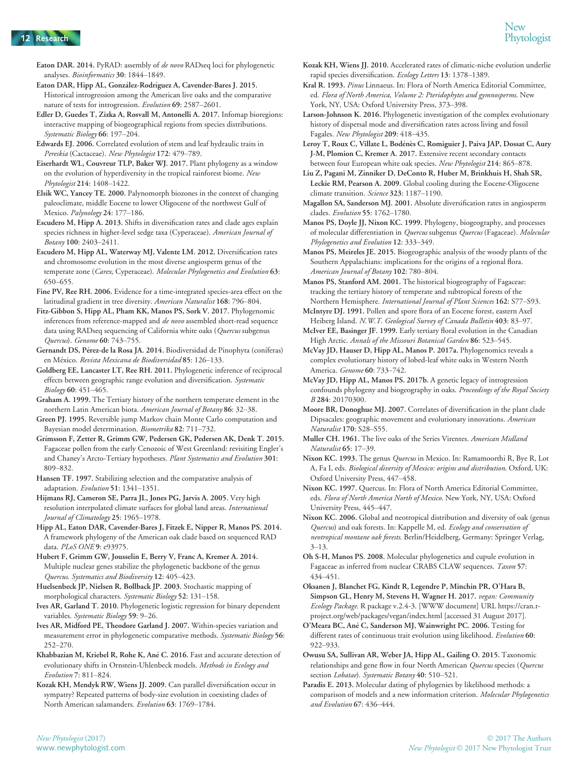Eaton DAR. 2014. PyRAD: assembly of de novo RADseq loci for phylogenetic analyses. Bioinformatics 30: 1844–1849.

- Eaton DAR, Hipp AL, González-Rodríguez A, Cavender-Bares J. 2015. Historical introgression among the American live oaks and the comparative nature of tests for introgression. Evolution 69: 2587–2601.
- Edler D, Guedes T, Zizka A, Rosvall M, Antonelli A. 2017. Infomap bioregions: interactive mapping of biogeographical regions from species distributions. Systematic Biology 66: 197–204.
- Edwards EJ. 2006. Correlated evolution of stem and leaf hydraulic traits in Pereskia (Cactaceae). New Phytologist 172: 479–789.
- Eiserhardt WL, Couvreur TLP, Baker WJ. 2017. Plant phylogeny as a window on the evolution of hyperdiversity in the tropical rainforest biome. New Phytologist 214: 1408–1422.
- Elsik WC, Yancey TE. 2000. Palynomorph biozones in the context of changing paleoclimate, middle Eocene to lower Oligocene of the northwest Gulf of Mexico. Palynology 24: 177–186.
- Escudero M, Hipp A. 2013. Shifts in diversification rates and clade ages explain species richness in higher-level sedge taxa (Cyperaceae). American Journal of Botany 100: 2403–2411.
- Escudero M, Hipp AL, Waterway MJ, Valente LM. 2012. Diversification rates and chromosome evolution in the most diverse angiosperm genus of the temperate zone (Carex, Cyperaceae). Molecular Phylogenetics and Evolution 63: 650–655.
- Fine PV, Ree RH. 2006. Evidence for a time-integrated species-area effect on the latitudinal gradient in tree diversity. American Naturalist 168: 796–804.
- Fitz-Gibbon S, Hipp AL, Pham KK, Manos PS, Sork V. 2017. Phylogenomic inferences from reference-mapped and de novo assembled short-read sequence data using RADseq sequencing of California white oaks (Quercus subgenus Quercus). Genome 60: 743–755.
- Gernandt DS, Pérez-de la Rosa JA. 2014. Biodiversidad de Pinophyta (coníferas) en Mexico. Revista Mexicana de Biodiversidad 85: 126–133.
- Goldberg EE, Lancaster LT, Ree RH. 2011. Phylogenetic inference of reciprocal effects between geographic range evolution and diversification. Systematic Biology 60: 451–465.
- Graham A. 1999. The Tertiary history of the northern temperate element in the northern Latin American biota. American Journal of Botany 86: 32–38.
- Green PJ. 1995. Reversible jump Markov chain Monte Carlo computation and Bayesian model determination. Biometrika 82: 711–732.
- Grímsson F, Zetter R, Grimm GW, Pedersen GK, Pedersen AK, Denk T. 2015. Fagaceae pollen from the early Cenozoic of West Greenland: revisiting Engler's and Chaney's Arcto-Tertiary hypotheses. Plant Systematics and Evolution 301: 809–832.
- Hansen TF. 1997. Stabilizing selection and the comparative analysis of adaptation. Evolution 51: 1341–1351.
- Hijmans RJ, Cameron SE, Parra JL, Jones PG, Jarvis A. 2005. Very high resolution interpolated climate surfaces for global land areas. International Journal of Climatology 25: 1965–1978.
- Hipp AL, Eaton DAR, Cavender-Bares J, Fitzek E, Nipper R, Manos PS. 2014. A framework phylogeny of the American oak clade based on sequenced RAD data. PLoS ONE 9: e93975.
- Hubert F, Grimm GW, Jousselin E, Berry V, Franc A, Kremer A. 2014. Multiple nuclear genes stabilize the phylogenetic backbone of the genus Quercus. Systematics and Biodiversity 12: 405–423.
- Huelsenbeck JP, Nielsen R, Bollback JP. 2003. Stochastic mapping of morphological characters. Systematic Biology 52: 131–158.
- Ives AR, Garland T. 2010. Phylogenetic logistic regression for binary dependent variables. Systematic Biology 59: 9-26.
- Ives AR, Midford PE, Theodore Garland J. 2007. Within-species variation and measurement error in phylogenetic comparative methods. Systematic Biology 56: 252–270.
- Khabbazian M, Kriebel R, Rohe K, Ané C. 2016. Fast and accurate detection of evolutionary shifts in Ornstein-Uhlenbeck models. Methods in Ecology and Evolution 7: 811–824.
- Kozak KH, Mendyk RW, Wiens JJ. 2009. Can parallel diversification occur in sympatry? Repeated patterns of body-size evolution in coexisting clades of North American salamanders. Evolution 63: 1769–1784.
- Kozak KH, Wiens JJ. 2010. Accelerated rates of climatic-niche evolution underlie rapid species diversification. Ecology Letters 13: 1378–1389.
- Kral R. 1993. Pinus Linnaeus. In: Flora of North America Editorial Committee, ed. Flora of North America, Volume 2: Pteridophytes and gymnosperms. New York, NY, USA: Oxford University Press, 373–398.
- Larson-Johnson K. 2016. Phylogenetic investigation of the complex evolutionary history of dispersal mode and diversification rates across living and fossil Fagales. New Phytologist 209: 418–435.
- Leroy T, Roux C, Villate L, Bodénès C, Romiguier J, Paiva JAP, Dossat C, Aury J-M, Plomion C, Kremer A. 2017. Extensive recent secondary contacts between four European white oak species. New Phytologist 214: 865-878.
- Liu Z, Pagani M, Zinniker D, DeConto R, Huber M, Brinkhuis H, Shah SR, Leckie RM, Pearson A. 2009. Global cooling during the Eocene-Oligocene climate transition. Science 323: 1187–1190.
- Magallon SA, Sanderson MJ. 2001. Absolute diversification rates in angiosperm clades. Evolution 55: 1762–1780.
- Manos PS, Doyle JJ, Nixon KC. 1999. Phylogeny, biogeography, and processes of molecular differentiation in Quercus subgenus Quercus (Fagaceae). Molecular Phylogenetics and Evolution 12: 333–349.
- Manos PS, Meireles JE. 2015. Biogeographic analysis of the woody plants of the Southern Appalachians: implications for the origins of a regional flora. American Journal of Botany 102: 780–804.
- Manos PS, Stanford AM. 2001. The historical biogeography of Fagaceae: tracking the tertiary history of temperate and subtropical forests of the Northern Hemisphere. International Journal of Plant Sciences 162: S77–S93.
- McIntyre DJ. 1991. Pollen and spore flora of an Eocene forest, eastern Axel Heiberg Island. N.W.T. Geological Survey of Canada Bulletin 403: 83-97.
- McIver EE, Basinger JF. 1999. Early tertiary floral evolution in the Canadian High Arctic. Annals of the Missouri Botanical Garden 86: 523–545.
- McVay JD, Hauser D, Hipp AL, Manos P. 2017a. Phylogenomics reveals a complex evolutionary history of lobed-leaf white oaks in Western North America. Genome 60: 733–742.
- McVay JD, Hipp AL, Manos PS. 2017b. A genetic legacy of introgression confounds phylogeny and biogeography in oaks. Proceedings of the Royal Society B 284: 20170300.
- Moore BR, Donoghue MJ. 2007. Correlates of diversification in the plant clade Dipsacales: geographic movement and evolutionary innovations. American Naturalist 170: S28–S55.
- Muller CH. 1961. The live oaks of the Series Virentes. American Midland Naturalist 65: 17–39.
- Nixon KC. 1993. The genus Quercus in Mexico. In: Ramamoorthi R, Bye R, Lot A, Fa I, eds. Biological diversity of Mexico: origins and distribution. Oxford, UK: Oxford University Press, 447–458.
- Nixon KC. 1997. Quercus. In: Flora of North America Editorial Committee, eds. Flora of North America North of Mexico. New York, NY, USA: Oxford University Press, 445–447.
- Nixon KC. 2006. Global and neotropical distribution and diversity of oak (genus Quercus) and oak forests. In: Kappelle M, ed. Ecology and conservation of neotropical montane oak forests. Berlin/Heidelberg, Germany: Springer Verlag, 3–13.
- Oh S-H, Manos PS. 2008. Molecular phylogenetics and cupule evolution in Fagaceae as inferred from nuclear CRABS CLAW sequences. Taxon 57: 434–451.
- Oksanen J, Blanchet FG, Kindt R, Legendre P, Minchin PR, O'Hara B, Simpson GL, Henry M, Stevens H, Wagner H. 2017. vegan: Community Ecology Package. R package v.2.4-3. [WWW document] URL [https://cran.r](https://cran.r-project.org/web/packages/vegan/index.html)[project.org/web/packages/vegan/index.html](https://cran.r-project.org/web/packages/vegan/index.html) [accessed 31 August 2017].
- O'Meara BC, Ane C, Sanderson MJ, Wainwright PC. 2006. Testing for different rates of continuous trait evolution using likelihood. Evolution 60: 922–933.
- Owusu SA, Sullivan AR, Weber JA, Hipp AL, Gailing O. 2015. Taxonomic relationships and gene flow in four North American Quercus species (Quercus section Lobatae). Systematic Botany 40: 510-521.
- Paradis E. 2013. Molecular dating of phylogenies by likelihood methods: a comparison of models and a new information criterion. Molecular Phylogenetics and Evolution 67: 436–444.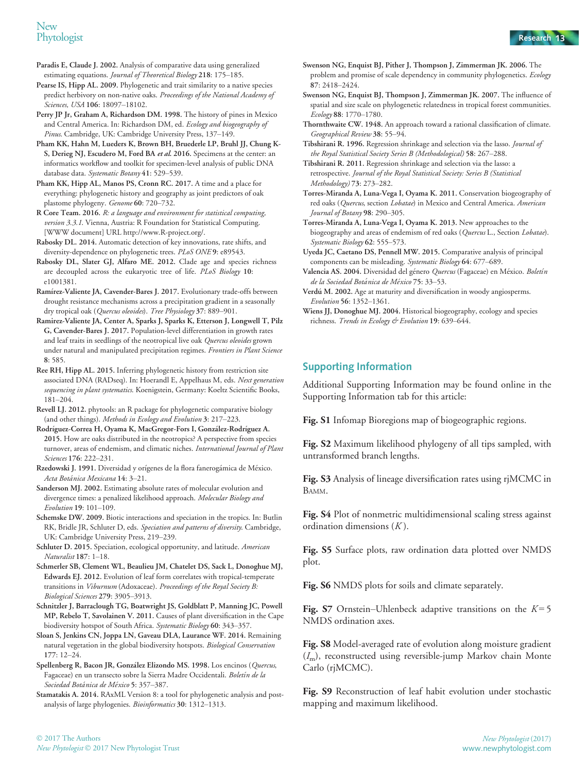# New<br>Phytologist Phytologist Research 13

Paradis E, Claude J. 2002. Analysis of comparative data using generalized estimating equations. Journal of Theoretical Biology 218: 175–185.

Pearse IS, Hipp AL. 2009. Phylogenetic and trait similarity to a native species predict herbivory on non-native oaks. Proceedings of the National Academy of Sciences, USA 106: 18097-18102.

Perry JP Jr, Graham A, Richardson DM. 1998. The history of pines in Mexico and Central America. In: Richardson DM, ed. Ecology and biogeography of Pinus. Cambridge, UK: Cambridge University Press, 137–149.

Pham KK, Hahn M, Lueders K, Brown BH, Bruederle LP, Bruhl JJ, Chung K-S, Derieg NJ, Escudero M, Ford BA et al. 2016. Specimens at the center: an informatics workflow and toolkit for specimen-level analysis of public DNA database data. Systematic Botany 41: 529-539.

Pham KK, Hipp AL, Manos PS, Cronn RC. 2017. A time and a place for everything: phylogenetic history and geography as joint predictors of oak plastome phylogeny. Genome 60: 720–732.

R Core Team. 2016. R: a language and environment for statistical computing, version 3.3.1. Vienna, Austria: R Foundation for Statistical Computing. [WWW document] URL<http://www.R-project.org/>.

Rabosky DL. 2014. Automatic detection of key innovations, rate shifts, and diversity-dependence on phylogenetic trees. PLoS ONE 9: e89543.

Rabosky DL, Slater GJ, Alfaro ME. 2012. Clade age and species richness are decoupled across the eukaryotic tree of life. PLoS Biology 10: e1001381.

Ramírez-Valiente JA, Cavender-Bares J. 2017. Evolutionary trade-offs between drought resistance mechanisms across a precipitation gradient in a seasonally dry tropical oak (Quercus oleoides). Tree Physiology 37: 889-901.

Ramirez-Valiente JA, Center A, Sparks J, Sparks K, Etterson J, Longwell T, Pilz G, Cavender-Bares J. 2017. Population-level differentiation in growth rates and leaf traits in seedlings of the neotropical live oak Quercus oleoides grown under natural and manipulated precipitation regimes. Frontiers in Plant Science 8: 585.

Ree RH, Hipp AL. 2015. Inferring phylogenetic history from restriction site associated DNA (RADseq). In: Hoerandl E, Appelhaus M, eds. Next generation sequencing in plant systematics. Koenigstein, Germany: Koeltz Scientific Books, 181–204.

Revell LJ. 2012. phytools: an R package for phylogenetic comparative biology (and other things). Methods in Ecology and Evolution 3: 217–223.

Rodrıguez-Correa H, Oyama K, MacGregor-Fors I, Gonzalez-Rodrıguez A. 2015. How are oaks distributed in the neotropics? A perspective from species turnover, areas of endemism, and climatic niches. International Journal of Plant Sciences 176: 222–231.

Rzedowski J. 1991. Diversidad y orígenes de la flora fanerogámica de México. Acta Botanica Mexicana 14: 3–21.

Sanderson MJ. 2002. Estimating absolute rates of molecular evolution and divergence times: a penalized likelihood approach. Molecular Biology and Evolution 19: 101–109.

Schemske DW. 2009. Biotic interactions and speciation in the tropics. In: Butlin RK, Bridle JR, Schluter D, eds. Speciation and patterns of diversity. Cambridge, UK: Cambridge University Press, 219–239.

Schluter D. 2015. Speciation, ecological opportunity, and latitude. American Naturalist 187: 1–18.

Schmerler SB, Clement WL, Beaulieu JM, Chatelet DS, Sack L, Donoghue MJ, Edwards EJ. 2012. Evolution of leaf form correlates with tropical-temperate transitions in Viburnum (Adoxaceae). Proceedings of the Royal Society B: Biological Sciences 279: 3905–3913.

Schnitzler J, Barraclough TG, Boatwright JS, Goldblatt P, Manning JC, Powell MP, Rebelo T, Savolainen V. 2011. Causes of plant diversification in the Cape biodiversity hotspot of South Africa. Systematic Biology 60: 343-357.

Sloan S, Jenkins CN, Joppa LN, Gaveau DLA, Laurance WF. 2014. Remaining natural vegetation in the global biodiversity hotspots. Biological Conservation 177: 12–24.

Spellenberg R, Bacon JR, González Elizondo MS. 1998. Los encinos (Quercus, Fagaceae) en un transecto sobre la Sierra Madre Occidentali. Boletín de la Sociedad Botánica de México 5: 357-387.

Stamatakis A. 2014. RAxML Version 8: a tool for phylogenetic analysis and postanalysis of large phylogenies. Bioinformatics 30: 1312–1313.

- Swenson NG, Enquist BJ, Pither J, Thompson J, Zimmerman JK. 2006. The problem and promise of scale dependency in community phylogenetics. Ecology 87: 2418–2424.
- Swenson NG, Enquist BJ, Thompson J, Zimmerman JK. 2007. The influence of spatial and size scale on phylogenetic relatedness in tropical forest communities. Ecology 88: 1770–1780.

Thornthwaite CW. 1948. An approach toward a rational classification of climate. Geographical Review 38: 55–94.

Tibshirani R. 1996. Regression shrinkage and selection via the lasso. Journal of the Royal Statistical Society Series B (Methodological) 58: 267–288.

Tibshirani R. 2011. Regression shrinkage and selection via the lasso: a retrospective. Journal of the Royal Statistical Society: Series B (Statistical Methodology) 73: 273–282.

Torres-Miranda A, Luna-Vega I, Oyama K. 2011. Conservation biogeography of red oaks (Quercus, section Lobatae) in Mexico and Central America. American Journal of Botany 98: 290–305.

Torres-Miranda A, Luna-Vega I, Oyama K. 2013. New approaches to the biogeography and areas of endemism of red oaks (Quercus L., Section Lobatae). Systematic Biology 62: 555-573.

Uyeda JC, Caetano DS, Pennell MW. 2015. Comparative analysis of principal components can be misleading. Systematic Biology 64: 677–689.

Valencia AS. 2004. Diversidad del género Quercus (Fagaceae) en México. Boletín de la Sociedad Botanica de Mexico 75: 33–53.

Verdú M. 2002. Age at maturity and diversification in woody angiosperms. Evolution 56: 1352–1361.

Wiens JJ, Donoghue MJ. 2004. Historical biogeography, ecology and species richness. Trends in Ecology & Evolution 19: 639–644.

## Supporting Information

Additional Supporting Information may be found online in the Supporting Information tab for this article:

Fig. S1 Infomap Bioregions map of biogeographic regions.

Fig. S2 Maximum likelihood phylogeny of all tips sampled, with untransformed branch lengths.

Fig. S3 Analysis of lineage diversification rates using rjMCMC in BAMM.

Fig. S4 Plot of nonmetric multidimensional scaling stress against ordination dimensions  $(K)$ .

Fig. S5 Surface plots, raw ordination data plotted over NMDS plot.

Fig. S6 NMDS plots for soils and climate separately.

**Fig. S**7 Ornstein–Uhlenbeck adaptive transitions on the  $K = 5$ NMDS ordination axes.

Fig. S8 Model-averaged rate of evolution along moisture gradient  $(I<sub>m</sub>)$ , reconstructed using reversible-jump Markov chain Monte Carlo (rjMCMC).

Fig. S9 Reconstruction of leaf habit evolution under stochastic mapping and maximum likelihood.